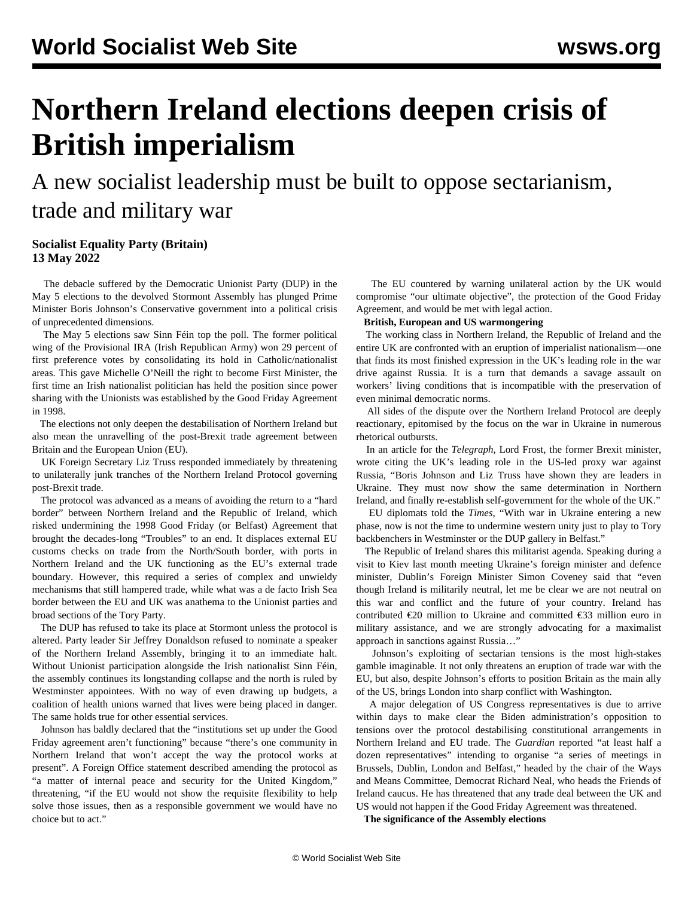# **Northern Ireland elections deepen crisis of British imperialism**

A new socialist leadership must be built to oppose sectarianism, trade and military war

## **Socialist Equality Party (Britain) 13 May 2022**

 The debacle suffered by the Democratic Unionist Party (DUP) in the May 5 elections to the devolved Stormont Assembly has plunged Prime Minister Boris Johnson's Conservative government into a political crisis of unprecedented dimensions.

 The May 5 elections saw Sinn Féin top the poll. The former political wing of the Provisional IRA (Irish Republican Army) won 29 percent of first preference votes by consolidating its hold in Catholic/nationalist areas. This gave Michelle O'Neill the right to become First Minister, the first time an Irish nationalist politician has held the position since power sharing with the Unionists was established by the Good Friday Agreement in 1998.

 The elections not only deepen the destabilisation of Northern Ireland but also mean the unravelling of the post-Brexit trade agreement between Britain and the European Union (EU).

 UK Foreign Secretary Liz Truss responded immediately by threatening to unilaterally junk tranches of the Northern Ireland Protocol governing post-Brexit trade.

 The protocol was advanced as a means of avoiding the return to a "hard border" between Northern Ireland and the Republic of Ireland, which risked undermining the 1998 Good Friday (or Belfast) Agreement that brought the decades-long "Troubles" to an end. It displaces external EU customs checks on trade from the North/South border, with ports in Northern Ireland and the UK functioning as the EU's external trade boundary. However, this required a series of complex and unwieldy mechanisms that still hampered trade, while what was a de facto Irish Sea border between the EU and UK was anathema to the Unionist parties and broad sections of the Tory Party.

 The DUP has refused to take its place at Stormont unless the protocol is altered. Party leader Sir Jeffrey Donaldson refused to nominate a speaker of the Northern Ireland Assembly, bringing it to an immediate halt. Without Unionist participation alongside the Irish nationalist Sinn Féin, the assembly continues its longstanding collapse and the north is ruled by Westminster appointees. With no way of even drawing up budgets, a coalition of health unions warned that lives were being placed in danger. The same holds true for other essential services.

 Johnson has baldly declared that the "institutions set up under the Good Friday agreement aren't functioning" because "there's one community in Northern Ireland that won't accept the way the protocol works at present". A Foreign Office statement described amending the protocol as "a matter of internal peace and security for the United Kingdom," threatening, "if the EU would not show the requisite flexibility to help solve those issues, then as a responsible government we would have no choice but to act."

 The EU countered by warning unilateral action by the UK would compromise "our ultimate objective", the protection of the Good Friday Agreement, and would be met with legal action.

#### **British, European and US warmongering**

 The working class in Northern Ireland, the Republic of Ireland and the entire UK are confronted with an eruption of imperialist nationalism—one that finds its most finished expression in the UK's leading role in the war drive against Russia. It is a turn that demands a savage assault on workers' living conditions that is incompatible with the preservation of even minimal democratic norms.

 All sides of the dispute over the Northern Ireland Protocol are deeply reactionary, epitomised by the focus on the war in Ukraine in numerous rhetorical outbursts.

 In an article for the *Telegraph*, Lord Frost, the former Brexit minister, wrote citing the UK's leading role in the US-led proxy war against Russia, "Boris Johnson and Liz Truss have shown they are leaders in Ukraine. They must now show the same determination in Northern Ireland, and finally re-establish self-government for the whole of the UK."

 EU diplomats told the *Times*, "With war in Ukraine entering a new phase, now is not the time to undermine western unity just to play to Tory backbenchers in Westminster or the DUP gallery in Belfast."

 The Republic of Ireland shares this militarist agenda. Speaking during a visit to Kiev last month meeting Ukraine's foreign minister and defence minister, Dublin's Foreign Minister Simon Coveney said that "even though Ireland is militarily neutral, let me be clear we are not neutral on this war and conflict and the future of your country. Ireland has contributed €20 million to Ukraine and committed €33 million euro in military assistance, and we are strongly advocating for a maximalist approach in sanctions against Russia…"

 Johnson's exploiting of sectarian tensions is the most high-stakes gamble imaginable. It not only threatens an eruption of trade war with the EU, but also, despite Johnson's efforts to position Britain as the main ally of the US, brings London into sharp conflict with Washington.

 A major delegation of US Congress representatives is due to arrive within days to make clear the Biden administration's opposition to tensions over the protocol destabilising constitutional arrangements in Northern Ireland and EU trade. The *Guardian* reported "at least half a dozen representatives" intending to organise "a series of meetings in Brussels, Dublin, London and Belfast," headed by the chair of the Ways and Means Committee, Democrat Richard Neal, who heads the Friends of Ireland caucus. He has threatened that any trade deal between the UK and US would not happen if the Good Friday Agreement was threatened.

**The significance of the Assembly elections**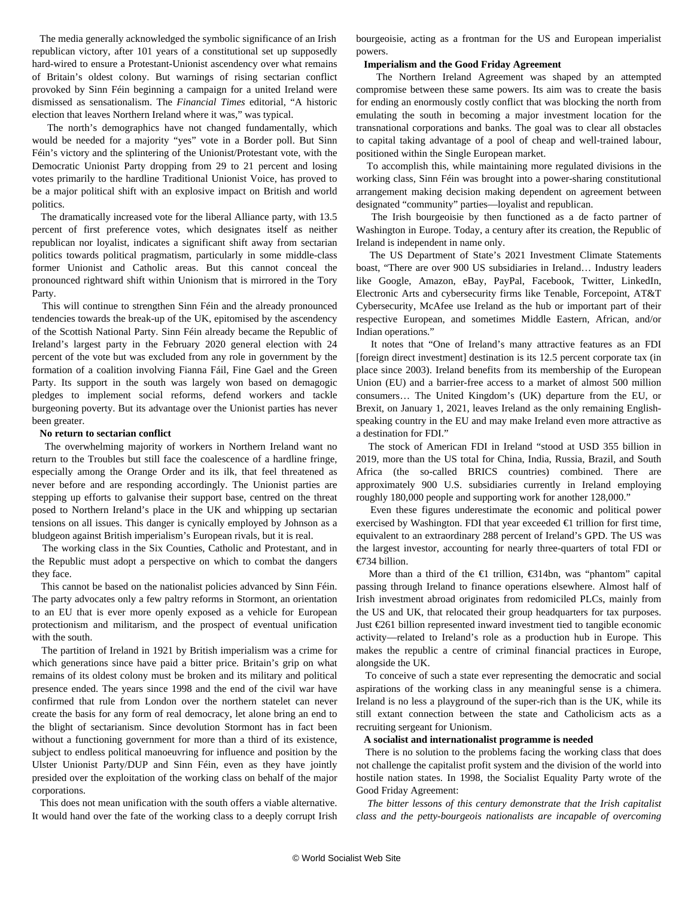The media generally acknowledged the symbolic significance of an Irish republican victory, after 101 years of a constitutional set up supposedly hard-wired to ensure a Protestant-Unionist ascendency over what remains of Britain's oldest colony. But warnings of rising sectarian conflict provoked by Sinn Féin beginning a campaign for a united Ireland were dismissed as sensationalism. The *Financial Times* editorial, "A historic election that leaves Northern Ireland where it was," was typical.

 The north's demographics have not changed fundamentally, which would be needed for a majority "yes" vote in a Border poll. But Sinn Féin's victory and the splintering of the Unionist/Protestant vote, with the Democratic Unionist Party dropping from 29 to 21 percent and losing votes primarily to the hardline Traditional Unionist Voice, has proved to be a major political shift with an explosive impact on British and world politics.

 The dramatically increased vote for the liberal Alliance party, with 13.5 percent of first preference votes, which designates itself as neither republican nor loyalist, indicates a significant shift away from sectarian politics towards political pragmatism, particularly in some middle-class former Unionist and Catholic areas. But this cannot conceal the pronounced rightward shift within Unionism that is mirrored in the Tory Party.

 This will continue to strengthen Sinn Féin and the already pronounced tendencies towards the break-up of the UK, epitomised by the ascendency of the Scottish National Party. Sinn Féin already became the Republic of Ireland's largest party in the February 2020 general election with 24 percent of the vote but was excluded from any role in government by the formation of a coalition involving Fianna Fáil, Fine Gael and the Green Party. Its support in the south was largely won based on demagogic pledges to implement social reforms, defend workers and tackle burgeoning poverty. But its advantage over the Unionist parties has never been greater.

### **No return to sectarian conflict**

 The overwhelming majority of workers in Northern Ireland want no return to the Troubles but still face the coalescence of a hardline fringe, especially among the Orange Order and its ilk, that feel threatened as never before and are responding accordingly. The Unionist parties are stepping up efforts to galvanise their support base, centred on the threat posed to Northern Ireland's place in the UK and whipping up sectarian tensions on all issues. This danger is cynically employed by Johnson as a bludgeon against British imperialism's European rivals, but it is real.

 The working class in the Six Counties, Catholic and Protestant, and in the Republic must adopt a perspective on which to combat the dangers they face.

 This cannot be based on the nationalist policies advanced by Sinn Féin. The party advocates only a few paltry reforms in Stormont, an orientation to an EU that is ever more openly exposed as a vehicle for European protectionism and militarism, and the prospect of eventual unification with the south.

 The partition of Ireland in 1921 by British imperialism was a crime for which generations since have paid a bitter price. Britain's grip on what remains of its oldest colony must be broken and its military and political presence ended. The years since 1998 and the end of the civil war have confirmed that rule from London over the northern statelet can never create the basis for any form of real democracy, let alone bring an end to the blight of sectarianism. Since devolution Stormont has in fact been without a functioning government for more than a third of its existence, subject to endless political manoeuvring for influence and position by the Ulster Unionist Party/DUP and Sinn Féin, even as they have jointly presided over the exploitation of the working class on behalf of the major corporations.

 This does not mean unification with the south offers a viable alternative. It would hand over the fate of the working class to a deeply corrupt Irish bourgeoisie, acting as a frontman for the US and European imperialist powers.

#### **Imperialism and the Good Friday Agreement**

 The Northern Ireland Agreement was shaped by an attempted compromise between these same powers. Its aim was to create the basis for ending an enormously costly conflict that was blocking the north from emulating the south in becoming a major investment location for the transnational corporations and banks. The goal was to clear all obstacles to capital taking advantage of a pool of cheap and well-trained labour, positioned within the Single European market.

 To accomplish this, while maintaining more regulated divisions in the working class, Sinn Féin was brought into a power-sharing constitutional arrangement making decision making dependent on agreement between designated "community" parties—loyalist and republican.

 The Irish bourgeoisie by then functioned as a de facto partner of Washington in Europe. Today, a century after its creation, the Republic of Ireland is independent in name only.

 The US Department of State's 2021 Investment Climate Statements boast, "There are over 900 US subsidiaries in Ireland… Industry leaders like Google, Amazon, eBay, PayPal, Facebook, Twitter, LinkedIn, Electronic Arts and cybersecurity firms like Tenable, Forcepoint, AT&T Cybersecurity, McAfee use Ireland as the hub or important part of their respective European, and sometimes Middle Eastern, African, and/or Indian operations."

 It notes that "One of Ireland's many attractive features as an FDI [foreign direct investment] destination is its 12.5 percent corporate tax (in place since 2003). Ireland benefits from its membership of the European Union (EU) and a barrier-free access to a market of almost 500 million consumers… The United Kingdom's (UK) departure from the EU, or Brexit, on January 1, 2021, leaves Ireland as the only remaining Englishspeaking country in the EU and may make Ireland even more attractive as a destination for FDI."

 The stock of American FDI in Ireland "stood at USD 355 billion in 2019, more than the US total for China, India, Russia, Brazil, and South Africa (the so-called BRICS countries) combined. There are approximately 900 U.S. subsidiaries currently in Ireland employing roughly 180,000 people and supporting work for another 128,000."

 Even these figures underestimate the economic and political power exercised by Washington. FDI that year exceeded  $\in$ 1 trillion for first time, equivalent to an extraordinary 288 percent of Ireland's GPD. The US was the largest investor, accounting for nearly three-quarters of total FDI or €734 billion.

 More than a third of the €1 trillion, €314bn, was "phantom" capital passing through Ireland to finance operations elsewhere. Almost half of Irish investment abroad originates from redomiciled PLCs, mainly from the US and UK, that relocated their group headquarters for tax purposes. Just €261 billion represented inward investment tied to tangible economic activity—related to Ireland's role as a production hub in Europe. This makes the republic a centre of criminal financial practices in Europe, alongside the UK.

 To conceive of such a state ever representing the democratic and social aspirations of the working class in any meaningful sense is a chimera. Ireland is no less a playground of the super-rich than is the UK, while its still extant connection between the state and Catholicism acts as a recruiting sergeant for Unionism.

#### **A socialist and internationalist programme is needed**

 There is no solution to the problems facing the working class that does not challenge the capitalist profit system and the division of the world into hostile nation states. In 1998, the Socialist Equality Party [wrote](/en/articles/1998/04/nizz-a25.html) of the Good Friday Agreement:

 *The bitter lessons of this century demonstrate that the Irish capitalist class and the petty-bourgeois nationalists are incapable of overcoming*